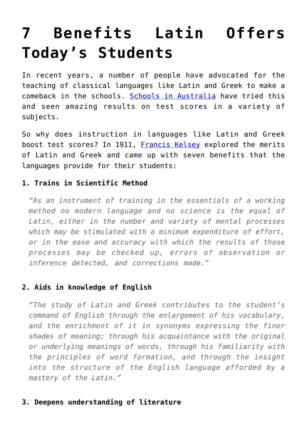# **[7 Benefits Latin Offers](https://intellectualtakeout.org/2016/03/7-benefits-latin-offers-todays-students/) [Today's Students](https://intellectualtakeout.org/2016/03/7-benefits-latin-offers-todays-students/)**

In recent years, a number of people have advocated for the teaching of classical languages like Latin and Greek to make a comeback in the schools. [Schools in Australia](https://www.intellectualtakeout.org/blog/australian-schools-brought-back-greek-and-latin-%E2%80%93-and-are-seeing-amazing-results) have tried this and seen amazing results on test scores in a variety of subjects.

So why does instruction in languages like Latin and Greek boost test scores? In 1911, [Francis Kelsey](https://archive.org/details/cu31924021597418) explored the merits of Latin and Greek and came up with seven benefits that the languages provide for their students:

### **1. Trains in Scientific Method**

*"As an instrument of training in the essentials of a working method no modern language and no science is the equal of Latin, either in the number and variety of mental processes which may be stimulated with a minimum expenditure of effort, or in the ease and accuracy with which the results of those processes may be checked up, errors of observation or inference detected, and corrections made."*

# **2. Aids in knowledge of English**

*"The study of Latin and Greek contributes to the student's command of English through the enlargement of his vocabulary, and the enrichment of it in synonyms expressing the finer shades of meaning; through his acquaintance with the original or underlying meanings of words, through his familiarity with the principles of word formation, and through the insight into the structure of the English language afforded by a mastery of the Latin."*

# **3. Deepens understanding of literature**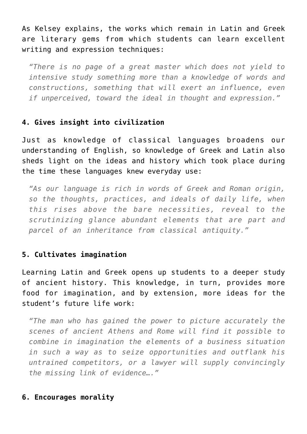As Kelsey explains, the works which remain in Latin and Greek are literary gems from which students can learn excellent writing and expression techniques:

*"There is no page of a great master which does not yield to intensive study something more than a knowledge of words and constructions, something that will exert an influence, even if unperceived, toward the ideal in thought and expression."*

# **4. Gives insight into civilization**

Just as knowledge of classical languages broadens our understanding of English, so knowledge of Greek and Latin also sheds light on the ideas and history which took place during the time these languages knew everyday use:

*"As our language is rich in words of Greek and Roman origin, so the thoughts, practices, and ideals of daily life, when this rises above the bare necessities, reveal to the scrutinizing glance abundant elements that are part and parcel of an inheritance from classical antiquity."*

#### **5. Cultivates imagination**

Learning Latin and Greek opens up students to a deeper study of ancient history. This knowledge, in turn, provides more food for imagination, and by extension, more ideas for the student's future life work:

*"The man who has gained the power to picture accurately the scenes of ancient Athens and Rome will find it possible to combine in imagination the elements of a business situation in such a way as to seize opportunities and outflank his untrained competitors, or a lawyer will supply convincingly the missing link of evidence…."*

#### **6. Encourages morality**